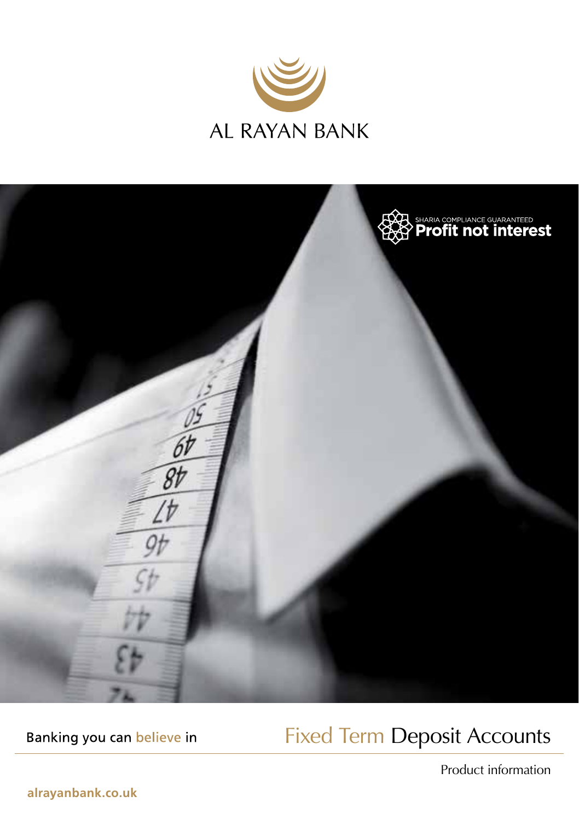



Banking you can believe in

### Fixed Term Deposit Accounts

Product information

**alrayanbank.co.uk**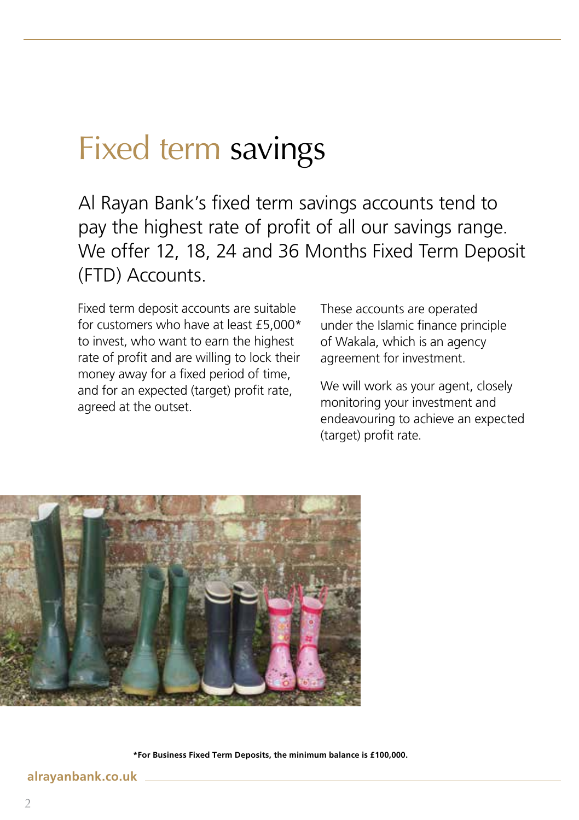# Fixed term savings

Al Rayan Bank's fixed term savings accounts tend to pay the highest rate of profit of all our savings range. We offer 12, 18, 24 and 36 Months Fixed Term Deposit (FTD) Accounts.

Fixed term deposit accounts are suitable for customers who have at least £5,000\* to invest, who want to earn the highest rate of profit and are willing to lock their money away for a fixed period of time, and for an expected (target) profit rate, agreed at the outset.

These accounts are operated under the Islamic finance principle of Wakala, which is an agency agreement for investment.

We will work as your agent, closely monitoring your investment and endeavouring to achieve an expected (target) profit rate.



**\*For Business Fixed Term Deposits, the minimum balance is £100,000.** 

#### **alrayanbank.co.uk**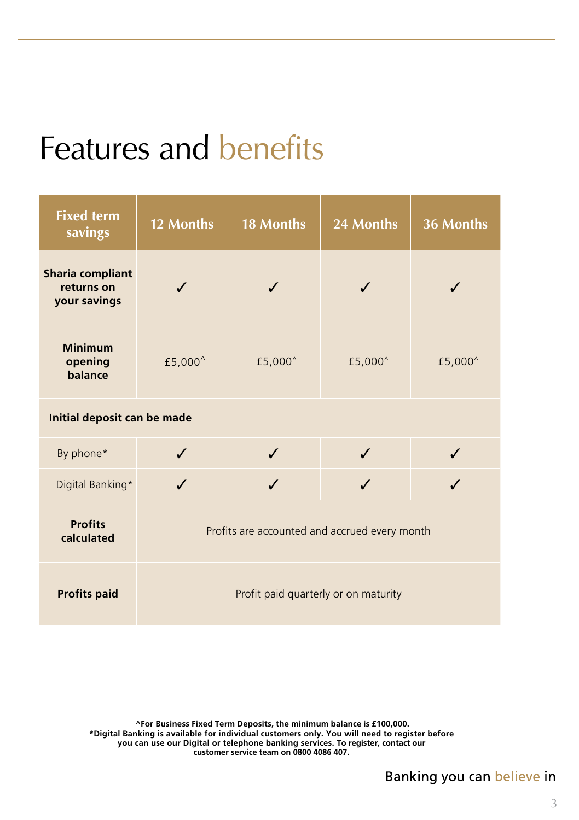# Features and benefits

| <b>Fixed term</b><br>savings                          | 12 Months                                     | <b>18 Months</b>    | 24 Months | 36 Months           |
|-------------------------------------------------------|-----------------------------------------------|---------------------|-----------|---------------------|
| <b>Sharia compliant</b><br>returns on<br>your savings |                                               |                     |           |                     |
| <b>Minimum</b><br>opening<br>balance                  | £5,000^                                       | £5,000 <sup>^</sup> | £5,000^   | £5,000 <sup>^</sup> |
| Initial deposit can be made                           |                                               |                     |           |                     |
| By phone*                                             |                                               |                     |           |                     |
| Digital Banking*                                      |                                               |                     |           |                     |
| <b>Profits</b><br>calculated                          | Profits are accounted and accrued every month |                     |           |                     |
| <b>Profits paid</b>                                   | Profit paid quarterly or on maturity          |                     |           |                     |

**^For Business Fixed Term Deposits, the minimum balance is £100,000. \*Digital Banking is available for individual customers only. You will need to register before you can use our Digital or telephone banking services. To register, contact our customer service team on 0800 4086 407.**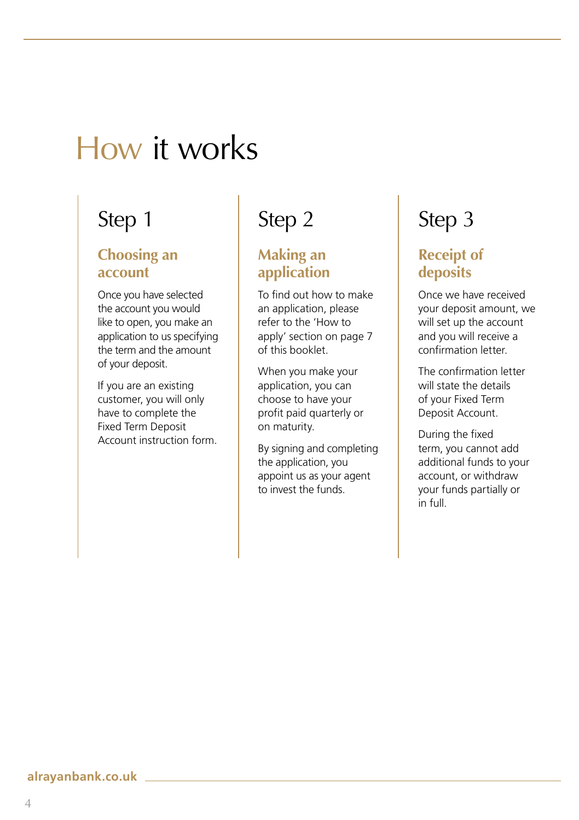## How it works

### Step 1

#### **Choosing an account**

Once you have selected the account you would like to open, you make an application to us specifying the term and the amount of your deposit.

If you are an existing customer, you will only have to complete the Fixed Term Deposit Account instruction form.

### Step 2

### **Making an application**

To find out how to make an application, please refer to the 'How to apply' section on page 7 of this booklet.

When you make your application, you can choose to have your profit paid quarterly or on maturity.

By signing and completing the application, you appoint us as your agent to invest the funds.

### Step 3

### **Receipt of deposits**

Once we have received your deposit amount, we will set up the account and you will receive a confirmation letter.

The confirmation letter will state the details of your Fixed Term Deposit Account.

During the fixed term, you cannot add additional funds to your account, or withdraw your funds partially or in full.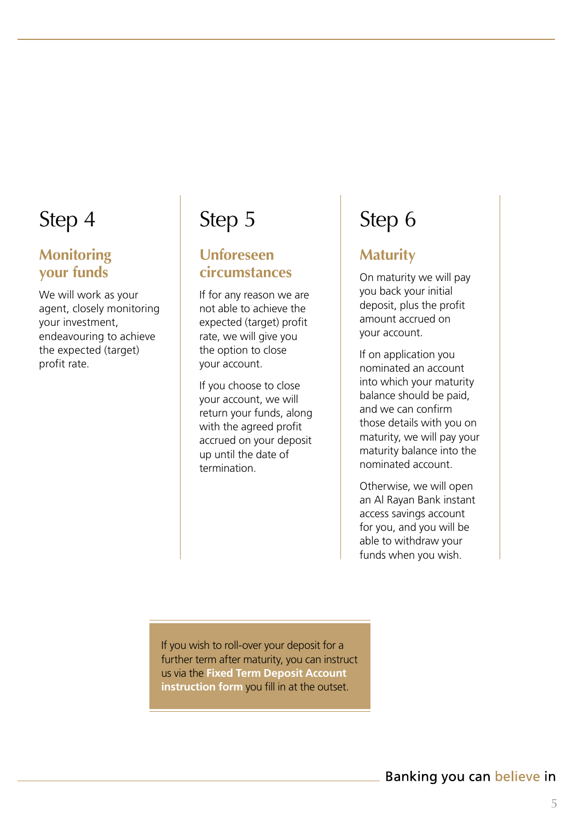### Step 4

#### **Monitoring your funds**

We will work as your agent, closely monitoring your investment, endeavouring to achieve the expected (target) profit rate.

### Step 5

### **Unforeseen circumstances**

If for any reason we are not able to achieve the expected (target) profit rate, we will give you the option to close your account.

If you choose to close your account, we will return your funds, along with the agreed profit accrued on your deposit up until the date of termination.

### Step 6

### **Maturity**

On maturity we will pay you back your initial deposit, plus the profit amount accrued on your account.

If on application you nominated an account into which your maturity balance should be paid, and we can confirm those details with you on maturity, we will pay your maturity balance into the nominated account.

Otherwise, we will open an Al Rayan Bank instant access savings account for you, and you will be able to withdraw your funds when you wish.

If you wish to roll-over your deposit for a further term after maturity, you can instruct us via the **Fixed Term Deposit Account instruction form** you fill in at the outset.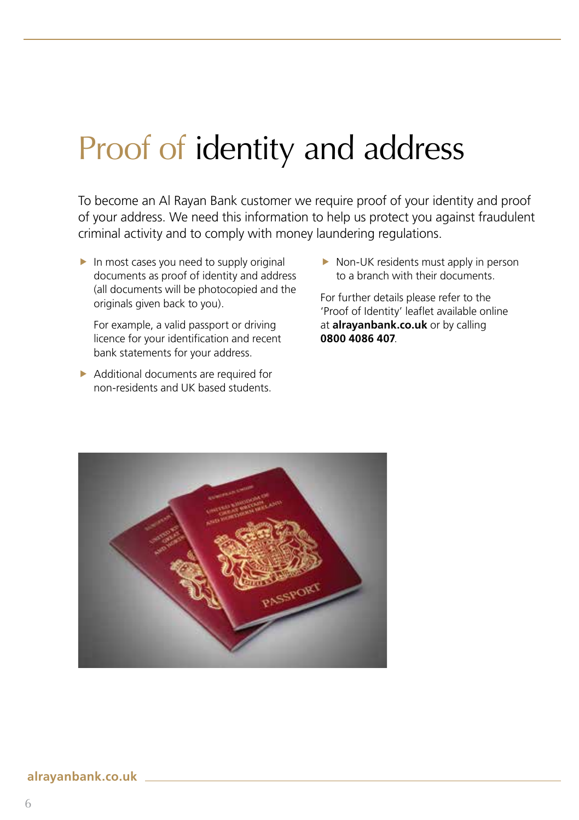# Proof of identity and address

To become an Al Rayan Bank customer we require proof of your identity and proof of your address. We need this information to help us protect you against fraudulent criminal activity and to comply with money laundering regulations.

 $\blacktriangleright$  In most cases you need to supply original documents as proof of identity and address (all documents will be photocopied and the originals given back to you).

For example, a valid passport or driving licence for your identification and recent bank statements for your address.

 $\blacktriangleright$  Additional documents are required for non-residents and UK based students.

 $\blacktriangleright$  Non-UK residents must apply in person to a branch with their documents.

For further details please refer to the 'Proof of Identity' leaflet available online at **alrayanbank.co.uk** or by calling **0800 4086 407**.

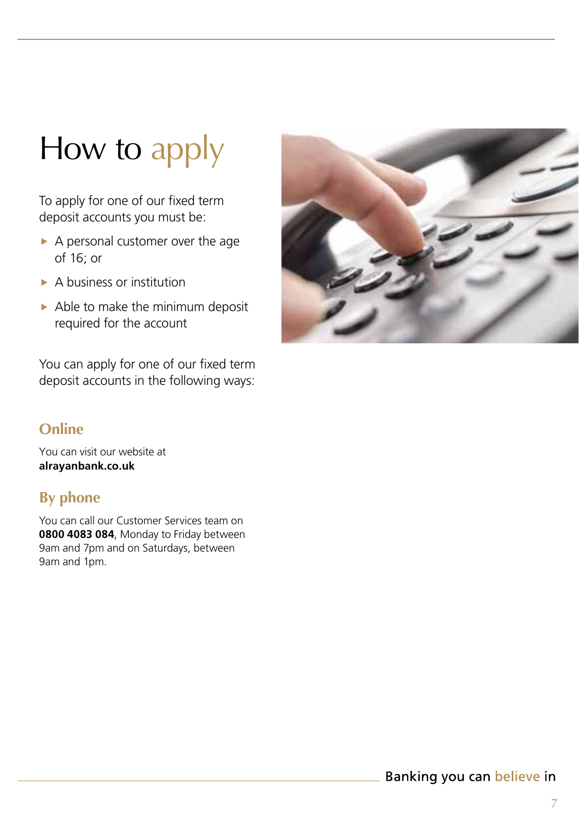# How to apply

To apply for one of our fixed term deposit accounts you must be:

- $\triangleright$  A personal customer over the age of 16; or
- $\blacktriangleright$  A business or institution
- $\triangleright$  Able to make the minimum deposit required for the account

You can apply for one of our fixed term deposit accounts in the following ways:

### **Online**

You can visit our website at **alrayanbank.co.uk**

### **By phone**

You can call our Customer Services team on **0800 4083 084**, Monday to Friday between 9am and 7pm and on Saturdays, between 9am and 1pm.